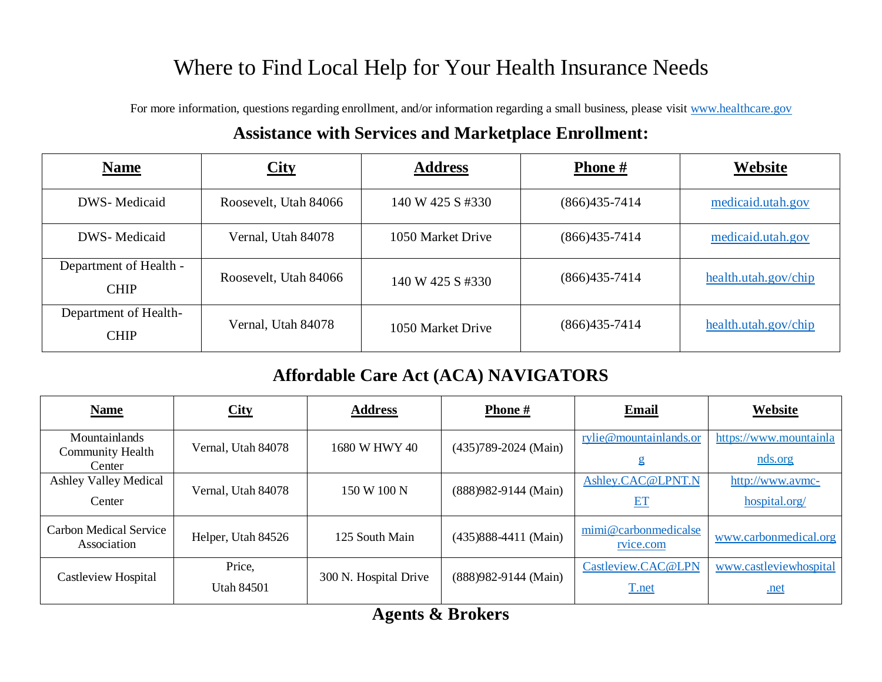## Where to Find Local Help for Your Health Insurance Needs

For more information, questions regarding enrollment, and/or information regarding a small business, please visit [www.healthcare.gov](http://www.healthcare.gov/)

## **Assistance with Services and Marketplace Enrollment:**

| <b>Name</b>                           | <b>City</b>           | <b>Address</b>    | <b>Phone</b> #    | Website              |
|---------------------------------------|-----------------------|-------------------|-------------------|----------------------|
| DWS-Medicaid                          | Roosevelt, Utah 84066 | 140 W 425 S #330  | $(866)435-7414$   | medicaid.utah.gov    |
| DWS-Medicaid                          | Vernal, Utah 84078    | 1050 Market Drive | $(866)435-7414$   | medicaid.utah.gov    |
| Department of Health -<br><b>CHIP</b> | Roosevelt, Utah 84066 | 140 W 425 S #330  | $(866)435-7414$   | health.utah.gov/chip |
| Department of Health-<br><b>CHIP</b>  | Vernal, Utah 84078    | 1050 Market Drive | $(866)435 - 7414$ | health.utah.gov/chip |

## **Affordable Care Act (ACA) NAVIGATORS**

| <b>Name</b>                                        | City                        | <b>Address</b>        | <b>Phone</b> #           | <b>Email</b>                      | Website                           |
|----------------------------------------------------|-----------------------------|-----------------------|--------------------------|-----------------------------------|-----------------------------------|
| Mountainlands<br><b>Community Health</b><br>Center | Vernal, Utah 84078          | 1680 W HWY 40         | $(435)789 - 2024$ (Main) | rylie@mountainlands.or<br>g       | https://www.mountainla<br>nds.org |
| <b>Ashley Valley Medical</b><br>Center             | Vernal, Utah 84078          | 150 W 100 N           | (888) 982-9144 (Main)    | Ashley.CAC@LPNT.N<br>ET           | http://www.avmc-<br>hospital.org/ |
| <b>Carbon Medical Service</b><br>Association       | Helper, Utah 84526          | 125 South Main        | $(435)888-4411$ (Main)   | mimi@carbonmedicalse<br>rvice.com | www.carbonmedical.org             |
| Castleview Hospital                                | Price,<br><b>Utah 84501</b> | 300 N. Hospital Drive | (888) 982-9144 (Main)    | Castleview.CAC@LPN<br>T.net       | www.castleviewhospital<br>.net    |

**Agents & Brokers**